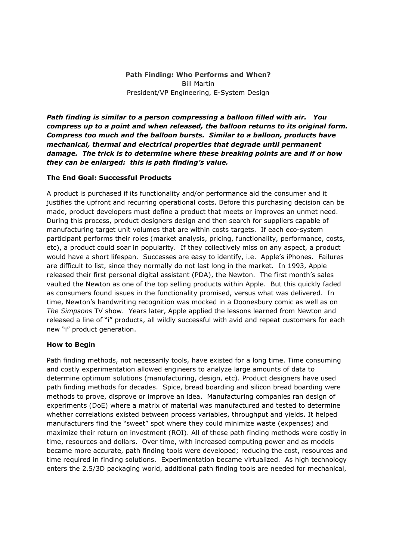# **Path Finding: Who Performs and When?** Bill Martin President/VP Engineering, E-System Design

*Path finding is similar to a person compressing a balloon filled with air. You compress up to a point and when released, the balloon returns to its original form. Compress too much and the balloon bursts. Similar to a balloon, products have mechanical, thermal and electrical properties that degrade until permanent damage. The trick is to determine where these breaking points are and if or how they can be enlarged: this is path finding's value.*

## **The End Goal: Successful Products**

A product is purchased if its functionality and/or performance aid the consumer and it justifies the upfront and recurring operational costs. Before this purchasing decision can be made, product developers must define a product that meets or improves an unmet need. During this process, product designers design and then search for suppliers capable of manufacturing target unit volumes that are within costs targets. If each eco-system participant performs their roles (market analysis, pricing, functionality, performance, costs, etc), a product could soar in popularity. If they collectively miss on any aspect, a product would have a short lifespan. Successes are easy to identify, i.e. Apple's iPhones. Failures are difficult to list, since they normally do not last long in the market. In 1993, Apple released their first personal digital assistant (PDA), the Newton. The first month's sales vaulted the Newton as one of the top selling products within Apple. But this quickly faded as consumers found issues in the functionality promised, versus what was delivered. In time, Newton's handwriting recognition was mocked in a Doonesbury comic as well as on *The Simpsons* TV show. Years later, Apple applied the lessons learned from Newton and released a line of "i" products, all wildly successful with avid and repeat customers for each new "i" product generation.

### **How to Begin**

Path finding methods, not necessarily tools, have existed for a long time. Time consuming and costly experimentation allowed engineers to analyze large amounts of data to determine optimum solutions (manufacturing, design, etc). Product designers have used path finding methods for decades. Spice, bread boarding and silicon bread boarding were methods to prove, disprove or improve an idea. Manufacturing companies ran design of experiments (DoE) where a matrix of material was manufactured and tested to determine whether correlations existed between process variables, throughput and yields. It helped manufacturers find the "sweet" spot where they could minimize waste (expenses) and maximize their return on investment (ROI). All of these path finding methods were costly in time, resources and dollars. Over time, with increased computing power and as models became more accurate, path finding tools were developed; reducing the cost, resources and time required in finding solutions. Experimentation became virtualized. As high technology enters the 2.5/3D packaging world, additional path finding tools are needed for mechanical,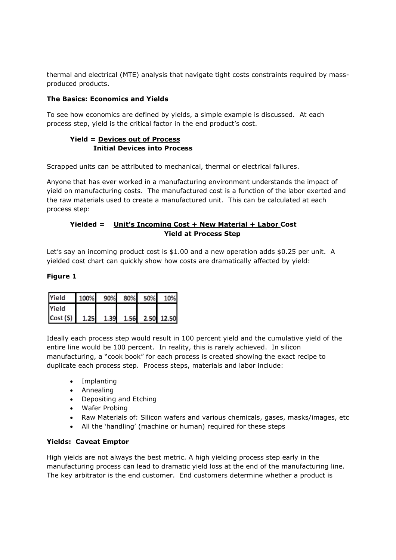thermal and electrical (MTE) analysis that navigate tight costs constraints required by mass produced products.

# **The Basics: Economics and conomics Yields**

To see how economics are defined by yields, a simple example is discussed. At each process step, yield is the critical factor in the end product's cost.

# **Yield = Devices out of Process Initial Devices into evices Process**

Scrapped units can be attributed to mechanical, thermal or electrical failures.

Scrapped units can be attributed to mechanical, thermal or electrical failures.<br>Anyone that has ever worked in a manufacturing environment understands the impact of yield on manufacturing costs. The manufactured cost is a function of the labor exerted and the raw materials used to create a manufactured unit. This can be calculated at each process step:

# **Yielded = Unit's I ncoming Cost + New Material + Labor abor Cost Yield at Process Step**

Let's say an incoming product cost is \$1.00 and a new operation adds \$0.25 per unit. A<br>yielded cost chart can quickly show how costs are dramatically affected by yield: yielded cost chart can quickly show how costs are dramatically affected by yield

# **Figure 1**

| Yield                                      | 100% 90% 80% 50% 10% |  |  |
|--------------------------------------------|----------------------|--|--|
| Yield                                      |                      |  |  |
| $\text{Cost}(5)$ 1.25 1.39 1.56 2.50 12.50 |                      |  |  |

Ideally each process step would result in 100 percent yield and the cumulative yield of the entire line would be 100 percent. In reality, this is rarely achieved. In silicon manufacturing, a "cook book" for each process is created showing the exact recipe to duplicate each process step. Process steps, Process materials and labor include is that navigate tight costs constraints required by mass-<br>
ds<br>
by yields, a simple example is discussed. At each<br>
cortor in the end product's cost.<br> **Process**<br>
mechanical, thermal or electrical failures.<br>
manufacturing en y achieved. In s<br>d showing the e><br>nd labor include:

- Implanting
- Annealing
- Depositing and Etching
- Wafer Probing
- Raw Materials of: Silicon wafers and various chemicals, gases, masks/images, etc
- All the 'handling' (machine or human) required for these steps

### **Yields: Caveat Emptor**

High yields are not always the best metric. A high yielding process step early in the manufacturing process can lead to dramatic yield loss at the end of the manufacturing line. The key arbitrator is the end customer. End customers determine whether a product is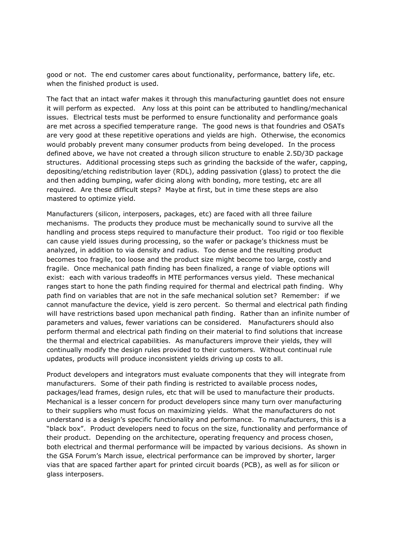good or not. The end customer cares about functionality, performance, battery life, etc. when the finished product is used.

The fact that an intact wafer makes it through this manufacturing gauntlet does not ensure it will perform as expected. Any loss at this point can be attributed to handling/mechanical issues. Electrical tests must be performed to ensure functionality and performance goals are met across a specified temperature range. The good news is that foundries and OSATs are very good at these repetitive operations and yields are high. Otherwise, the economics would probably prevent many consumer products from being developed. In the process defined above, we have not created a through silicon structure to enable 2.5D/3D package structures. Additional processing steps such as grinding the backside of the wafer, capping, depositing/etching redistribution layer (RDL), adding passivation (glass) to protect the die and then adding bumping, wafer dicing along with bonding, more testing, etc are all required. Are these difficult steps? Maybe at first, but in time these steps are also mastered to optimize yield.

Manufacturers (silicon, interposers, packages, etc) are faced with all three failure mechanisms. The products they produce must be mechanically sound to survive all the handling and process steps required to manufacture their product. Too rigid or too flexible can cause yield issues during processing, so the wafer or package's thickness must be analyzed, in addition to via density and radius. Too dense and the resulting product becomes too fragile, too loose and the product size might become too large, costly and fragile. Once mechanical path finding has been finalized, a range of viable options will exist: each with various tradeoffs in MTE performances versus yield. These mechanical ranges start to hone the path finding required for thermal and electrical path finding. Why path find on variables that are not in the safe mechanical solution set? Remember: if we cannot manufacture the device, yield is zero percent. So thermal and electrical path finding will have restrictions based upon mechanical path finding. Rather than an infinite number of parameters and values, fewer variations can be considered. Manufacturers should also perform thermal and electrical path finding on their material to find solutions that increase the thermal and electrical capabilities. As manufacturers improve their yields, they will continually modify the design rules provided to their customers. Without continual rule updates, products will produce inconsistent yields driving up costs to all.

Product developers and integrators must evaluate components that they will integrate from manufacturers. Some of their path finding is restricted to available process nodes, packages/lead frames, design rules, etc that will be used to manufacture their products. Mechanical is a lesser concern for product developers since many turn over manufacturing to their suppliers who must focus on maximizing yields. What the manufacturers do not understand is a design's specific functionality and performance. To manufacturers, this is a "black box". Product developers need to focus on the size, functionality and performance of their product. Depending on the architecture, operating frequency and process chosen, both electrical and thermal performance will be impacted by various decisions. As shown in the GSA Forum's March issue, electrical performance can be improved by shorter, larger vias that are spaced farther apart for printed circuit boards (PCB), as well as for silicon or glass interposers.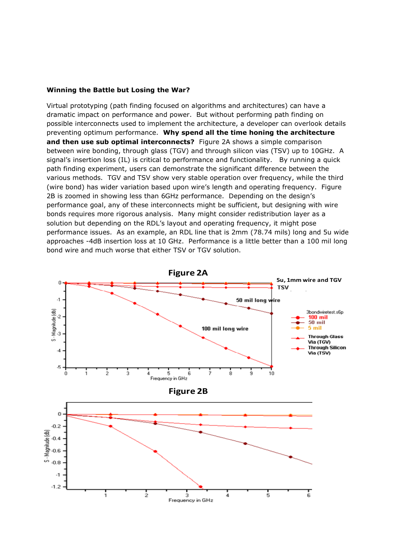#### **Winning the Battle but Losing the War?**

Virtual prototyping (path finding focused on algorithms and architectures) can have a dramatic impact on performance and power. But without performing path finding on possible interconnects used to implement the architecture, a developer can overlook details preventing optimum performance. **Why spend all the time honing the architecture and then use sub optimal interconnects?** Figure 2A shows a simple comparison between wire bonding, through glass (TGV) and through silicon vias (TSV) up to 10GHz. A signal's insertion loss (IL) is critical to performance and functionality. By running a quick path finding experiment, users can demonstrate the significant difference between the various methods. TGV and TSV show very stable operation over frequency, while the third (wire bond) has wider variation based upon wire's length and operating frequency. Figure 2B is zoomed in showing less than 6GHz performance. Depending on the design's performance goal, any of these interconnects might be sufficient, but designing with wire bonds requires more rigorous analysis. Many might consider redistribution layer as a solution but depending on the RDL's layout and operating frequency, it might pose performance issues. As an example, an RDL line that is 2mm (78.74 mils) long and 5u wide approaches -4dB insertion loss at 10 GHz. Performance is a little better than a 100 mil long bond wire and much worse that either TSV or TGV solution.